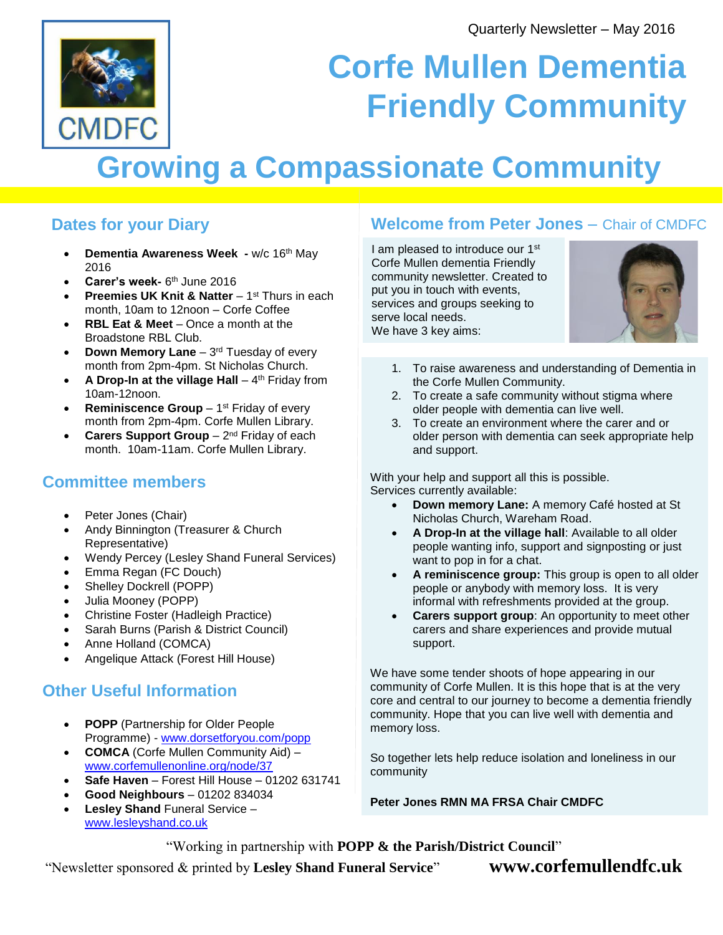

# **Corfe Mullen Dementia Friendly Community**

## **Growing a Compassionate Community**

#### **Dates for your Diary**

- **Dementia Awareness Week -** w/c 16th May 2016
- **Carer's week-** 6<sup>th</sup> June 2016
- **Preemies UK Knit & Natter** 1<sup>st</sup> Thurs in each month, 10am to 12noon – Corfe Coffee
- **RBL Eat & Meet Once a month at the** Broadstone RBL Club.
- **Down Memory Lane** 3<sup>rd</sup> Tuesday of every month from 2pm-4pm. St Nicholas Church.
- **A Drop-In at the village Hall** 4<sup>th</sup> Friday from 10am-12noon.
- **Reminiscence Group** 1<sup>st</sup> Friday of every month from 2pm-4pm. Corfe Mullen Library.
- **Carers Support Group** 2<sup>nd</sup> Friday of each month. 10am-11am. Corfe Mullen Library.

#### **Committee members**

- Peter Jones (Chair)
- Andy Binnington (Treasurer & Church Representative)
- Wendy Percey (Lesley Shand Funeral Services)
- Emma Regan (FC Douch)
- Shelley Dockrell (POPP)
- Julia Mooney (POPP)
- Christine Foster (Hadleigh Practice)
- Sarah Burns (Parish & District Council)
- Anne Holland (COMCA)
- Angelique Attack (Forest Hill House)

### **Other Useful Information**

- **POPP** (Partnership for Older People Programme) - [www.dorsetforyou.com/popp](http://www.dorsetforyou.com/popp)
- **COMCA** (Corfe Mullen Community Aid) [www.corfemullenonline.org/node/37](http://www.corfemullenonline.org/node/37)
- **Safe Haven** Forest Hill House 01202 631741
- **Good Neighbours**  01202 834034
- **Lesley Shand** Funeral Service [www.lesleyshand.co.uk](http://www.lesleyshand.co.uk/)

#### **Welcome from Peter Jones** – Chair of CMDFC

I am pleased to introduce our 1<sup>st</sup> Corfe Mullen dementia Friendly community newsletter. Created to put you in touch with events, services and groups seeking to serve local needs. We have 3 key aims:



- 1. To raise awareness and understanding of Dementia in the Corfe Mullen Community.
- 2. To create a safe community without stigma where older people with dementia can live well.
- 3. To create an environment where the carer and or older person with dementia can seek appropriate help and support.

With your help and support all this is possible. Services currently available:

- **Down memory Lane:** A memory Café hosted at St Nicholas Church, Wareham Road.
- **A Drop-In at the village hall**: Available to all older people wanting info, support and signposting or just want to pop in for a chat.
- **A reminiscence group:** This group is open to all older people or anybody with memory loss. It is very informal with refreshments provided at the group.
- **Carers support group**: An opportunity to meet other carers and share experiences and provide mutual support.

We have some tender shoots of hope appearing in our community of Corfe Mullen. It is this hope that is at the very core and central to our journey to become a dementia friendly community. Hope that you can live well with dementia and memory loss.

So together lets help reduce isolation and loneliness in our community

**Peter Jones RMN MA FRSA Chair CMDFC**

"Working in partnership with **POPP & the Parish/District Council**"

"Newsletter sponsored & printed by **Lesley Shand Funeral Service**" **www.corfemullendfc.uk**